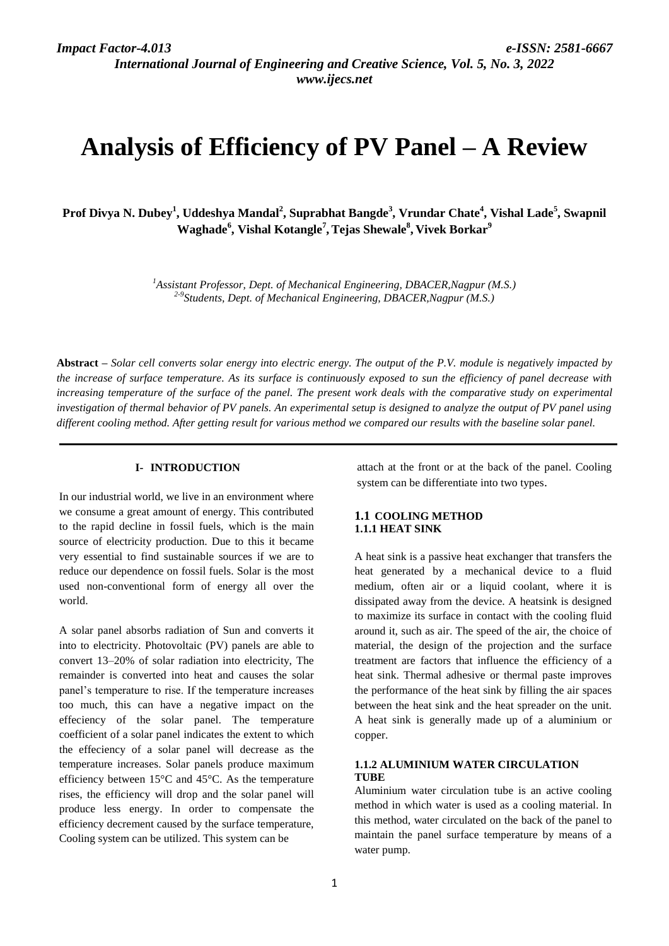*International Journal of Engineering and Creative Science, Vol. 5, No. 3, 2022 www.ijecs.net*

# **Analysis of Efficiency of PV Panel – A Review**

**Prof Divya N. Dubey<sup>1</sup> , Uddeshya Mandal<sup>2</sup> , Suprabhat Bangde<sup>3</sup> , Vrundar Chate<sup>4</sup> , Vishal Lade<sup>5</sup> , Swapnil Waghade<sup>6</sup> , Vishal Kotangle<sup>7</sup> ,Tejas Shewale<sup>8</sup> , Vivek Borkar<sup>9</sup>**

> *<sup>1</sup>Assistant Professor, Dept. of Mechanical Engineering, DBACER,Nagpur (M.S.) 2-9 Students, Dept. of Mechanical Engineering, DBACER,Nagpur (M.S.)*

**Abstract** *– Solar cell converts solar energy into electric energy. The output of the P.V. module is negatively impacted by the increase of surface temperature. As its surface is continuously exposed to sun the efficiency of panel decrease with*  increasing temperature of the surface of the panel. The present work deals with the comparative study on experimental *investigation of thermal behavior of PV panels. An experimental setup is designed to analyze the output of PV panel using different cooling method. After getting result for various method we compared our results with the baseline solar panel.*

#### **I- INTRODUCTION**

In our industrial world, we live in an environment where we consume a great amount of energy. This contributed to the rapid decline in fossil fuels, which is the main source of electricity production. Due to this it became very essential to find sustainable sources if we are to reduce our dependence on fossil fuels. Solar is the most used non-conventional form of energy all over the world.

A solar panel absorbs radiation of Sun and converts it into to electricity. Photovoltaic (PV) panels are able to convert 13–20% of solar radiation into electricity, The remainder is converted into heat and causes the solar panel's temperature to rise. If the temperature increases too much, this can have a negative impact on the effeciency of the solar panel. The temperature coefficient of a solar panel indicates the extent to which the effeciency of a solar panel will decrease as the temperature increases. Solar panels produce maximum efficiency between 15°C and 45°C. As the temperature rises, the efficiency will drop and the solar panel will produce less energy. In order to compensate the efficiency decrement caused by the surface temperature, Cooling system can be utilized. This system can be

attach at the front or at the back of the panel. Cooling system can be differentiate into two types.

# **1.1 COOLING METHOD 1.1.1 HEAT SINK**

A heat sink is a passive heat exchanger that transfers the heat generated by a mechanical device to a fluid medium, often air or a liquid coolant, where it is dissipated away from the device. A heatsink is designed to maximize its surface in contact with the cooling fluid around it, such as air. The speed of the air, the choice of material, the design of the projection and the surface treatment are factors that influence the efficiency of a heat sink. Thermal adhesive or thermal paste improves the performance of the heat sink by filling the air spaces between the heat sink and the heat spreader on the unit. A heat sink is generally made up of a aluminium or copper.

### **1.1.2 ALUMINIUM WATER CIRCULATION TUBE**

Aluminium water circulation tube is an active cooling method in which water is used as a cooling material. In this method, water circulated on the back of the panel to maintain the panel surface temperature by means of a water pump.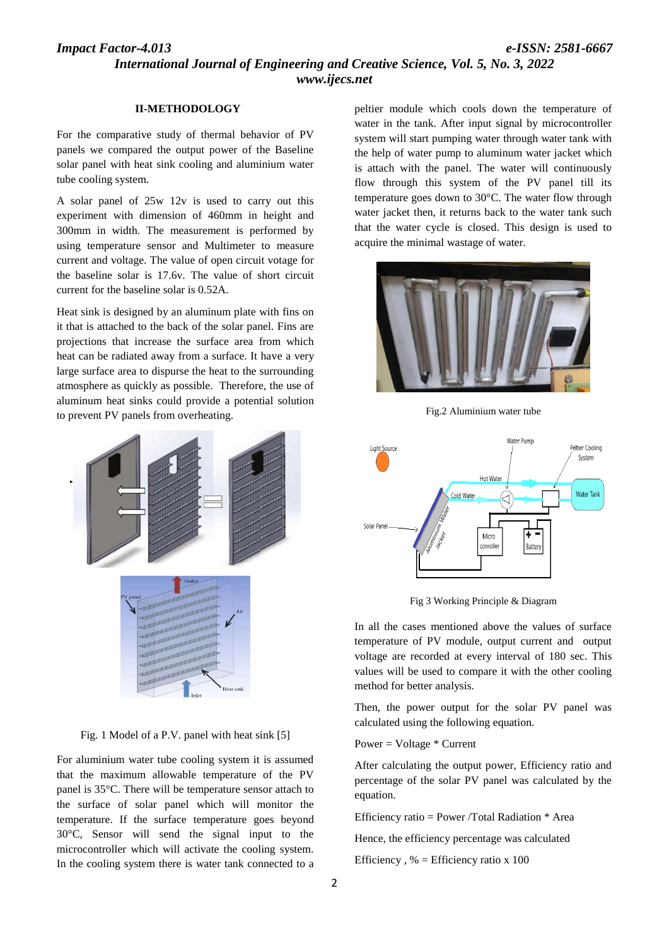# *Impact Factor-4.013 e-ISSN: 2581-6667 International Journal of Engineering and Creative Science, Vol. 5, No. 3, 2022 www.ijecs.net*

#### **II-METHODOLOGY**

For the comparative study of thermal behavior of PV panels we compared the output power of the Baseline solar panel with heat sink cooling and aluminium water tube cooling system.

A solar panel of 25w 12v is used to carry out this experiment with dimension of 460mm in height and 300mm in width. The measurement is performed by using temperature sensor and Multimeter to measure current and voltage. The value of open circuit votage for the baseline solar is 17.6v. The value of short circuit current for the baseline solar is 0.52A.

Heat sink is designed by an aluminum plate with fins on it that is attached to the back of the solar panel. Fins are projections that increase the surface area from which heat can be radiated away from a surface. It have a very large surface area to dispurse the heat to the surrounding atmosphere as quickly as possible. Therefore, the use of aluminum heat sinks could provide a potential solution to prevent PV panels from overheating.



Fig. 1 Model of a P.V. panel with heat sink [5]

For aluminium water tube cooling system it is assumed that the maximum allowable temperature of the PV panel is 35°C. There will be temperature sensor attach to the surface of solar panel which will monitor the temperature. If the surface temperature goes beyond 30°C, Sensor will send the signal input to the microcontroller which will activate the cooling system. In the cooling system there is water tank connected to a peltier module which cools down the temperature of water in the tank. After input signal by microcontroller system will start pumping water through water tank with the help of water pump to aluminum water jacket which is attach with the panel. The water will continuously flow through this system of the PV panel till its temperature goes down to 30°C. The water flow through water jacket then, it returns back to the water tank such that the water cycle is closed. This design is used to acquire the minimal wastage of water.



Fig.2 Aluminium water tube



Fig 3 Working Principle & Diagram

In all the cases mentioned above the values of surface temperature of PV module, output current and output voltage are recorded at every interval of 180 sec. This values will be used to compare it with the other cooling method for better analysis.

Then, the power output for the solar PV panel was calculated using the following equation.

#### Power = Voltage  $*$  Current

After calculating the output power, Efficiency ratio and percentage of the solar PV panel was calculated by the equation.

Efficiency ratio = Power /Total Radiation \* Area

Hence, the efficiency percentage was calculated

Efficiency,  $% =$  Efficiency ratio x 100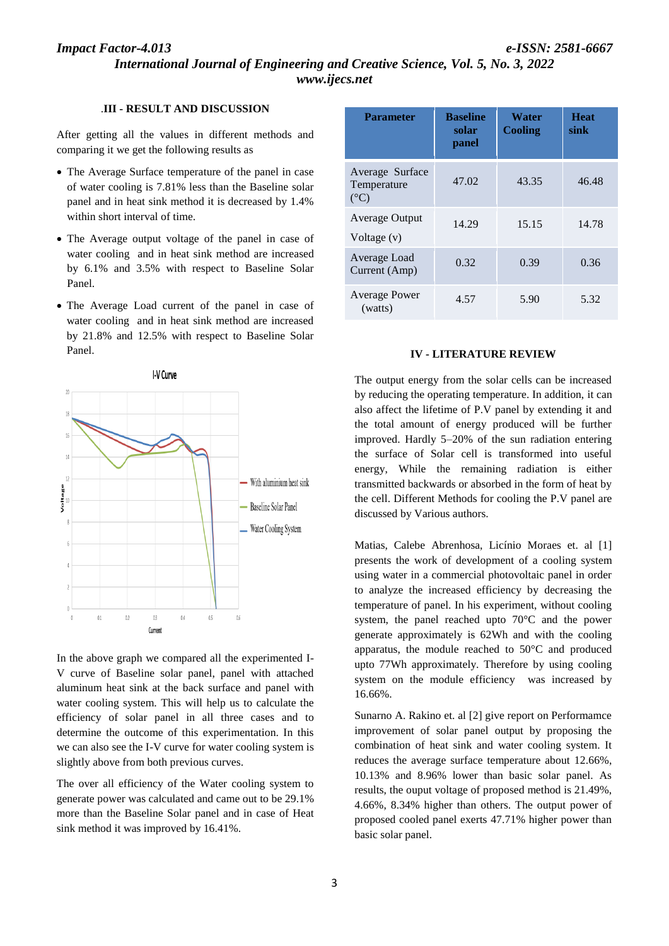# *Impact Factor-4.013 e-ISSN: 2581-6667*

*International Journal of Engineering and Creative Science, Vol. 5, No. 3, 2022 www.ijecs.net*

# .**III - RESULT AND DISCUSSION**

After getting all the values in different methods and comparing it we get the following results as

- The Average Surface temperature of the panel in case of water cooling is 7.81% less than the Baseline solar panel and in heat sink method it is decreased by 1.4% within short interval of time.
- The Average output voltage of the panel in case of water cooling and in heat sink method are increased by 6.1% and 3.5% with respect to Baseline Solar Panel.
- The Average Load current of the panel in case of water cooling and in heat sink method are increased by 21.8% and 12.5% with respect to Baseline Solar Panel.



In the above graph we compared all the experimented I-V curve of Baseline solar panel, panel with attached aluminum heat sink at the back surface and panel with water cooling system. This will help us to calculate the efficiency of solar panel in all three cases and to determine the outcome of this experimentation. In this we can also see the I-V curve for water cooling system is slightly above from both previous curves.

The over all efficiency of the Water cooling system to generate power was calculated and came out to be 29.1% more than the Baseline Solar panel and in case of Heat sink method it was improved by 16.41%.

| <b>Parameter</b>                                | <b>Baseline</b><br>solar<br>panel | Water<br><b>Cooling</b> | <b>Heat</b><br>sink |
|-------------------------------------------------|-----------------------------------|-------------------------|---------------------|
| Average Surface<br>Temperature<br>$(^{\circ}C)$ | 47.02                             | 43.35                   | 46.48               |
| Average Output<br>Voltage $(v)$                 | 14.29                             | 15.15                   | 14.78               |
| Average Load<br>Current (Amp)                   | 0.32                              | 0.39                    | 0.36                |
| <b>Average Power</b><br>(watts)                 | 4.57                              | 5.90                    | 5.32                |

#### **IV - LITERATURE REVIEW**

The output energy from the solar cells can be increased by reducing the operating temperature. In addition, it can also affect the lifetime of P.V panel by extending it and the total amount of energy produced will be further improved. Hardly 5–20% of the sun radiation entering the surface of Solar cell is transformed into useful energy, While the remaining radiation is either transmitted backwards or absorbed in the form of heat by the cell. Different Methods for cooling the P.V panel are discussed by Various authors.

Matias, Calebe Abrenhosa, Licínio Moraes et. al [1] presents the work of development of a cooling system using water in a commercial photovoltaic panel in order to analyze the increased efficiency by decreasing the temperature of panel. In his experiment, without cooling system, the panel reached upto 70°C and the power generate approximately is 62Wh and with the cooling apparatus, the module reached to 50°C and produced upto 77Wh approximately. Therefore by using cooling system on the module efficiency was increased by 16.66%.

Sunarno A. Rakino et. al [2] give report on Performamce improvement of solar panel output by proposing the combination of heat sink and water cooling system. It reduces the average surface temperature about 12.66%, 10.13% and 8.96% lower than basic solar panel. As results, the ouput voltage of proposed method is 21.49%, 4.66%, 8.34% higher than others. The output power of proposed cooled panel exerts 47.71% higher power than basic solar panel.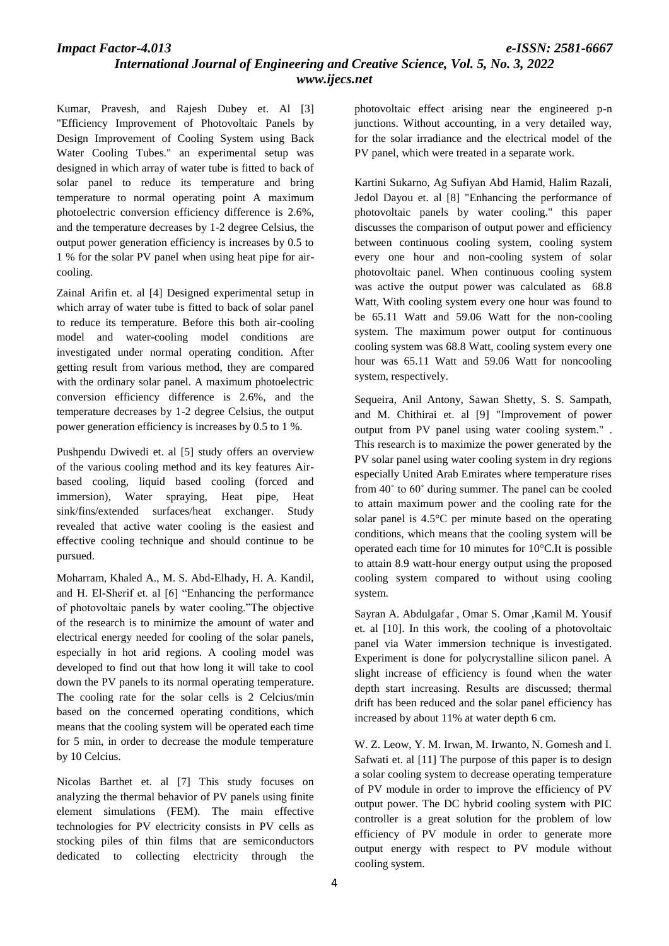*International Journal of Engineering and Creative Science, Vol. 5, No. 3, 2022 www.ijecs.net*

Kumar, Pravesh, and Rajesh Dubey et. Al [3] "Efficiency Improvement of Photovoltaic Panels by Design Improvement of Cooling System using Back Water Cooling Tubes." an experimental setup was designed in which array of water tube is fitted to back of solar panel to reduce its temperature and bring temperature to normal operating point A maximum photoelectric conversion efficiency difference is 2.6%, and the temperature decreases by 1-2 degree Celsius, the output power generation efficiency is increases by 0.5 to 1 % for the solar PV panel when using heat pipe for aircooling.

Zainal Arifin et. al [4] Designed experimental setup in which array of water tube is fitted to back of solar panel to reduce its temperature. Before this both air-cooling model and water-cooling model conditions are investigated under normal operating condition. After getting result from various method, they are compared with the ordinary solar panel. A maximum photoelectric conversion efficiency difference is 2.6%, and the temperature decreases by 1-2 degree Celsius, the output power generation efficiency is increases by 0.5 to 1 %.

Pushpendu Dwivedi et. al [5] study offers an overview of the various cooling method and its key features Airbased cooling, liquid based cooling (forced and immersion), Water spraying, Heat pipe, Heat sink/fins/extended surfaces/heat exchanger. Study revealed that active water cooling is the easiest and effective cooling technique and should continue to be pursued.

Moharram, Khaled A., M. S. Abd-Elhady, H. A. Kandil, and H. El-Sherif et. al [6] "Enhancing the performance of photovoltaic panels by water cooling."The objective of the research is to minimize the amount of water and electrical energy needed for cooling of the solar panels, especially in hot arid regions. A cooling model was developed to find out that how long it will take to cool down the PV panels to its normal operating temperature. The cooling rate for the solar cells is 2 Celcius/min based on the concerned operating conditions, which means that the cooling system will be operated each time for 5 min, in order to decrease the module temperature by 10 Celcius.

Nicolas Barthet et. al [7] This study focuses on analyzing the thermal behavior of PV panels using finite element simulations (FEM). The main effective technologies for PV electricity consists in PV cells as stocking piles of thin films that are semiconductors dedicated to collecting electricity through the

photovoltaic effect arising near the engineered p-n junctions. Without accounting, in a very detailed way, for the solar irradiance and the electrical model of the PV panel, which were treated in a separate work.

Kartini Sukarno, Ag Sufiyan Abd Hamid, Halim Razali, Jedol Dayou et. al [8] "Enhancing the performance of photovoltaic panels by water cooling." this paper discusses the comparison of output power and efficiency between continuous cooling system, cooling system every one hour and non-cooling system of solar photovoltaic panel. When continuous cooling system was active the output power was calculated as 68.8 Watt, With cooling system every one hour was found to be 65.11 Watt and 59.06 Watt for the non-cooling system. The maximum power output for continuous cooling system was 68.8 Watt, cooling system every one hour was 65.11 Watt and 59.06 Watt for noncooling system, respectively.

Sequeira, Anil Antony, Sawan Shetty, S. S. Sampath, and M. Chithirai et. al [9] "Improvement of power output from PV panel using water cooling system." . This research is to maximize the power generated by the PV solar panel using water cooling system in dry regions especially United Arab Emirates where temperature rises from 40˚ to 60˚ during summer. The panel can be cooled to attain maximum power and the cooling rate for the solar panel is 4.5°C per minute based on the operating conditions, which means that the cooling system will be operated each time for 10 minutes for 10°C.It is possible to attain 8.9 watt-hour energy output using the proposed cooling system compared to without using cooling system.

Sayran A. Abdulgafar , Omar S. Omar ,Kamil M. Yousif et. al [10]. In this work, the cooling of a photovoltaic panel via Water immersion technique is investigated. Experiment is done for polycrystalline silicon panel. A slight increase of efficiency is found when the water depth start increasing. Results are discussed; thermal drift has been reduced and the solar panel efficiency has increased by about 11% at water depth 6 cm.

W. Z. Leow, Y. M. Irwan, M. Irwanto, N. Gomesh and I. Safwati et. al [11] The purpose of this paper is to design a solar cooling system to decrease operating temperature of PV module in order to improve the efficiency of PV output power. The DC hybrid cooling system with PIC controller is a great solution for the problem of low efficiency of PV module in order to generate more output energy with respect to PV module without cooling system.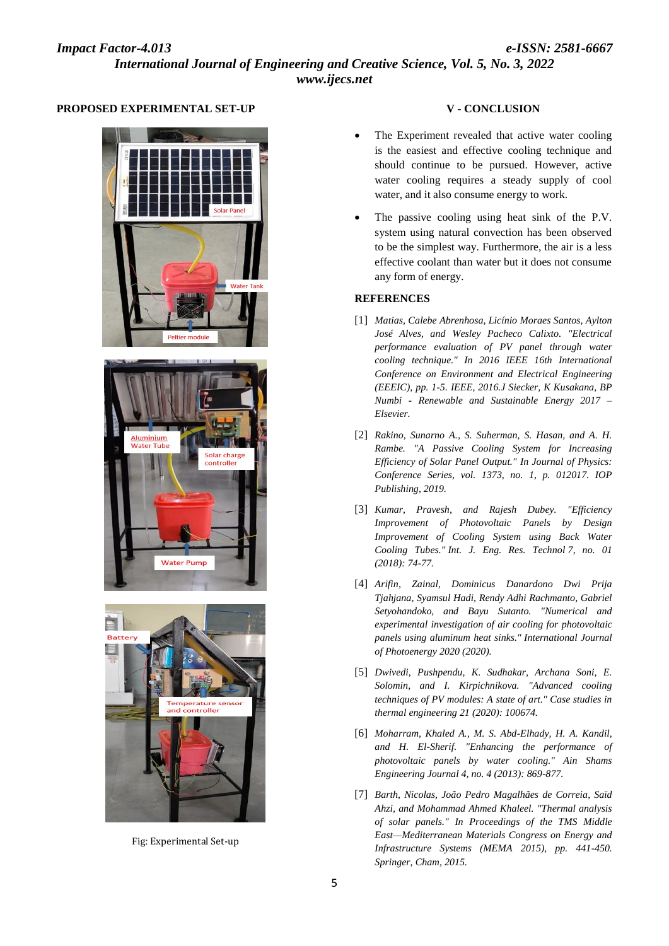# **PROPOSED EXPERIMENTAL SET-UP**







Fig: Experimental Set-up

# **V - CONCLUSION**

- The Experiment revealed that active water cooling is the easiest and effective cooling technique and should continue to be pursued. However, active water cooling requires a steady supply of cool water, and it also consume energy to work.
- The passive cooling using heat sink of the P.V. system using natural convection has been observed to be the simplest way. Furthermore, the air is a less effective coolant than water but it does not consume any form of energy.

#### **REFERENCES**

- [1] *Matias, Calebe Abrenhosa, Licínio Moraes Santos, Aylton José Alves, and Wesley Pacheco Calixto. "Electrical performance evaluation of PV panel through water cooling technique." In 2016 IEEE 16th International Conference on Environment and Electrical Engineering (EEEIC), pp. 1-5. IEEE, 2016.J Siecker, K Kusakana, BP Numbi - Renewable and Sustainable Energy 2017 – Elsevier.*
- [2] *Rakino, Sunarno A., S. Suherman, S. Hasan, and A. H. Rambe. "A Passive Cooling System for Increasing Efficiency of Solar Panel Output." In Journal of Physics: Conference Series, vol. 1373, no. 1, p. 012017. IOP Publishing, 2019.*
- [3] *Kumar, Pravesh, and Rajesh Dubey. "Efficiency Improvement of Photovoltaic Panels by Design Improvement of Cooling System using Back Water Cooling Tubes." Int. J. Eng. Res. Technol 7, no. 01 (2018): 74-77.*
- [4] *Arifin, Zainal, Dominicus Danardono Dwi Prija Tjahjana, Syamsul Hadi, Rendy Adhi Rachmanto, Gabriel Setyohandoko, and Bayu Sutanto. "Numerical and experimental investigation of air cooling for photovoltaic panels using aluminum heat sinks." International Journal of Photoenergy 2020 (2020).*
- [5] *Dwivedi, Pushpendu, K. Sudhakar, Archana Soni, E. Solomin, and I. Kirpichnikova. "Advanced cooling techniques of PV modules: A state of art." Case studies in thermal engineering 21 (2020): 100674.*
- [6] *Moharram, Khaled A., M. S. Abd-Elhady, H. A. Kandil, and H. El-Sherif. "Enhancing the performance of photovoltaic panels by water cooling." Ain Shams Engineering Journal 4, no. 4 (2013): 869-877.*
- [7] *Barth, Nicolas, João Pedro Magalhães de Correia, Saïd Ahzi, and Mohammad Ahmed Khaleel. "Thermal analysis of solar panels." In Proceedings of the TMS Middle East—Mediterranean Materials Congress on Energy and Infrastructure Systems (MEMA 2015), pp. 441-450. Springer, Cham, 2015.*